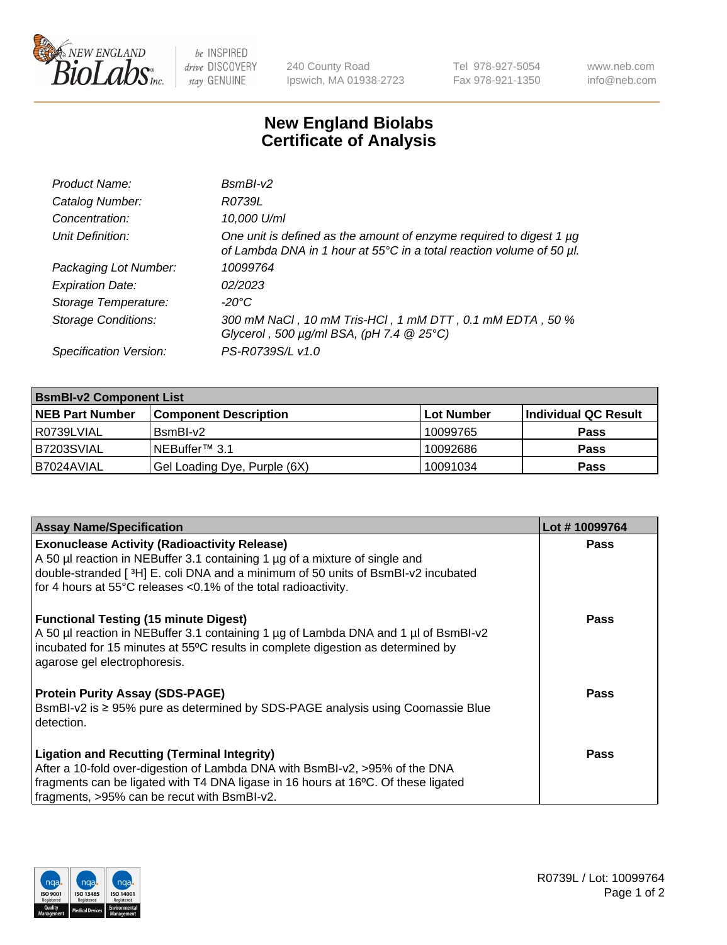

 $be$  INSPIRED drive DISCOVERY stay GENUINE

240 County Road Ipswich, MA 01938-2723 Tel 978-927-5054 Fax 978-921-1350 www.neb.com info@neb.com

## **New England Biolabs Certificate of Analysis**

| Product Name:              | $BsmBI-v2$                                                                                                                                  |
|----------------------------|---------------------------------------------------------------------------------------------------------------------------------------------|
| Catalog Number:            | R0739L                                                                                                                                      |
| Concentration:             | 10,000 U/ml                                                                                                                                 |
| Unit Definition:           | One unit is defined as the amount of enzyme required to digest 1 µg<br>of Lambda DNA in 1 hour at 55°C in a total reaction volume of 50 µl. |
| Packaging Lot Number:      | 10099764                                                                                                                                    |
| <b>Expiration Date:</b>    | 02/2023                                                                                                                                     |
| Storage Temperature:       | $-20^{\circ}$ C                                                                                                                             |
| <b>Storage Conditions:</b> | 300 mM NaCl, 10 mM Tris-HCl, 1 mM DTT, 0.1 mM EDTA, 50 %<br>Glycerol, 500 $\mu$ g/ml BSA, (pH 7.4 $@25°C$ )                                 |
| Specification Version:     | PS-R0739S/L v1.0                                                                                                                            |

| <b>BsmBI-v2 Component List</b> |                              |                   |                      |  |  |
|--------------------------------|------------------------------|-------------------|----------------------|--|--|
| <b>NEB Part Number</b>         | <b>Component Description</b> | <b>Lot Number</b> | Individual QC Result |  |  |
| R0739LVIAL                     | BsmBI-v2                     | 10099765          | <b>Pass</b>          |  |  |
| B7203SVIAL                     | INEBuffer™ 3.1               | 10092686          | <b>Pass</b>          |  |  |
| IB7024AVIAL                    | Gel Loading Dye, Purple (6X) | 10091034          | <b>Pass</b>          |  |  |

| <b>Assay Name/Specification</b>                                                                                                                                                                                                                                       | Lot #10099764 |
|-----------------------------------------------------------------------------------------------------------------------------------------------------------------------------------------------------------------------------------------------------------------------|---------------|
| <b>Exonuclease Activity (Radioactivity Release)</b><br>A 50 µl reaction in NEBuffer 3.1 containing 1 µg of a mixture of single and                                                                                                                                    | <b>Pass</b>   |
| double-stranded [3H] E. coli DNA and a minimum of 50 units of BsmBI-v2 incubated<br>for 4 hours at 55°C releases <0.1% of the total radioactivity.                                                                                                                    |               |
| <b>Functional Testing (15 minute Digest)</b><br>A 50 µl reaction in NEBuffer 3.1 containing 1 µg of Lambda DNA and 1 µl of BsmBI-v2<br>incubated for 15 minutes at 55°C results in complete digestion as determined by<br>agarose gel electrophoresis.                | <b>Pass</b>   |
| <b>Protein Purity Assay (SDS-PAGE)</b><br>BsmBI-v2 is ≥ 95% pure as determined by SDS-PAGE analysis using Coomassie Blue<br>detection.                                                                                                                                | Pass          |
| <b>Ligation and Recutting (Terminal Integrity)</b><br>After a 10-fold over-digestion of Lambda DNA with BsmBI-v2, >95% of the DNA<br>fragments can be ligated with T4 DNA ligase in 16 hours at 16°C. Of these ligated<br>fragments, >95% can be recut with BsmBI-v2. | Pass          |